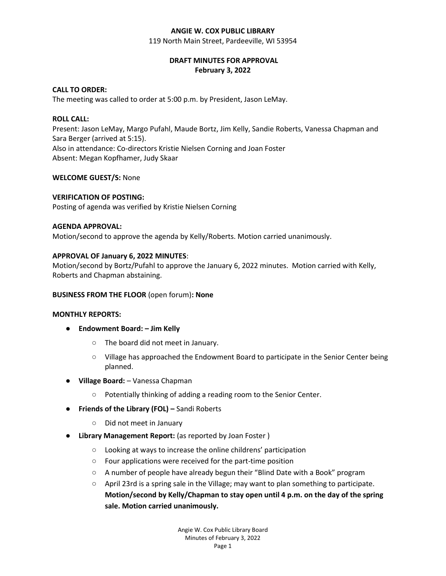#### **ANGIE W. COX PUBLIC LIBRARY**

119 North Main Street, Pardeeville, WI 53954

## **DRAFT MINUTES FOR APPROVAL February 3, 2022**

# **CALL TO ORDER:**

The meeting was called to order at 5:00 p.m. by President, Jason LeMay.

#### **ROLL CALL:**

Present: Jason LeMay, Margo Pufahl, Maude Bortz, Jim Kelly, Sandie Roberts, Vanessa Chapman and Sara Berger (arrived at 5:15). Also in attendance: Co-directors Kristie Nielsen Corning and Joan Foster Absent: Megan Kopfhamer, Judy Skaar

### **WELCOME GUEST/S:** None

#### **VERIFICATION OF POSTING:**

Posting of agenda was verified by Kristie Nielsen Corning

#### **AGENDA APPROVAL:**

Motion/second to approve the agenda by Kelly/Roberts. Motion carried unanimously.

# **APPROVAL OF January 6, 2022 MINUTES**:

Motion/second by Bortz/Pufahl to approve the January 6, 2022 minutes. Motion carried with Kelly, Roberts and Chapman abstaining.

### **BUSINESS FROM THE FLOOR** (open forum)**: None**

### **MONTHLY REPORTS:**

- **Endowment Board: – Jim Kelly**
	- The board did not meet in January.
	- Village has approached the Endowment Board to participate in the Senior Center being planned.
- **Village Board:** Vanessa Chapman
	- Potentially thinking of adding a reading room to the Senior Center.
- **Friends of the Library (FOL) –** Sandi Roberts
	- Did not meet in January
- **Library Management Report:** (as reported by Joan Foster )
	- Looking at ways to increase the online childrens' participation
	- Four applications were received for the part-time position
	- A number of people have already begun their "Blind Date with a Book" program
	- April 23rd is a spring sale in the Village; may want to plan something to participate. **Motion/second by Kelly/Chapman to stay open until 4 p.m. on the day of the spring sale. Motion carried unanimously.**